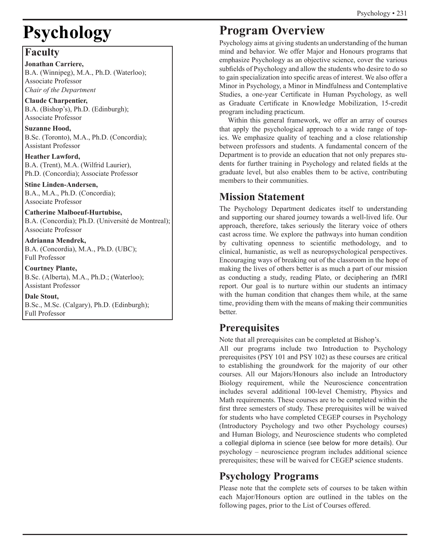# **Psychology**

# **Faculty**

**Jonathan Carriere,** B.A. (Winnipeg), M.A., Ph.D. (Waterloo); Associate Professor *Chair of the Department*

**Claude Charpentier,** B.A. (Bishop's), Ph.D. (Edinburgh); Associate Professor

**Suzanne Hood,** B.Sc. (Toronto), M.A., Ph.D. (Concordia); Assistant Professor

**Heather Lawford,** B.A. (Trent), M.A. (Wilfrid Laurier), Ph.D. (Concordia); Associate Professor

**Stine Linden-Andersen,** B.A., M.A., Ph.D. (Concordia); Associate Professor

**Catherine Malboeuf-Hurtubise,** B.A. (Concordia); Ph.D. (Université de Montreal); Associate Professor

**Adrianna Mendrek,** B.A. (Concordia), M.A., Ph.D. (UBC); Full Professor

**Courtney Plante,** B.Sc. (Alberta), M.A., Ph.D.; (Waterloo); Assistant Professor

**Dale Stout,**  B.Sc., M.Sc. (Calgary), Ph.D. (Edinburgh); Full Professor

# **Program Overview**

Psychology aims at giving students an understanding of the human mind and behavior. We offer Major and Honours programs that emphasize Psychology as an objective science, cover the various subfields of Psychology and allow the students who desire to do so to gain specialization into specific areas of interest. We also offer a Minor in Psychology, a Minor in Mindfulness and Contemplative Studies, a one-year Certificate in Human Psychology, as well as Graduate Certificate in Knowledge Mobilization, 15-credit program including practicum.

Within this general framework, we offer an array of courses that apply the psychological approach to a wide range of topics. We emphasize quality of teaching and a close relationship between professors and students. A fundamental concern of the Department is to provide an education that not only prepares students for further training in Psychology and related fields at the graduate level, but also enables them to be active, contributing members to their communities.

# **Mission Statement**

The Psychology Department dedicates itself to understanding and supporting our shared journey towards a well-lived life. Our approach, therefore, takes seriously the literary voice of others cast across time. We explore the pathways into human condition by cultivating openness to scientific methodology, and to clinical, humanistic, as well as neuropsychological perspectives. Encouraging ways of breaking out of the classroom in the hope of making the lives of others better is as much a part of our mission as conducting a study, reading Plato, or deciphering an fMRI report. Our goal is to nurture within our students an intimacy with the human condition that changes them while, at the same time, providing them with the means of making their communities better.

# **Prerequisites**

Note that all prerequisites can be completed at Bishop's.

All our programs include two Introduction to Psychology prerequisites (PSY 101 and PSY 102) as these courses are critical to establishing the groundwork for the majority of our other courses. All our Majors/Honours also include an Introductory Biology requirement, while the Neuroscience concentration includes several additional 100-level Chemistry, Physics and Math requirements. These courses are to be completed within the first three semesters of study. These prerequisites will be waived for students who have completed CEGEP courses in Psychology (Introductory Psychology and two other Psychology courses) and Human Biology, and Neuroscience students who completed a collegial diploma in science (see below for more details). Our psychology – neuroscience program includes additional science prerequisites; these will be waived for CEGEP science students.

# **Psychology Programs**

Please note that the complete sets of courses to be taken within each Major/Honours option are outlined in the tables on the following pages, prior to the List of Courses offered.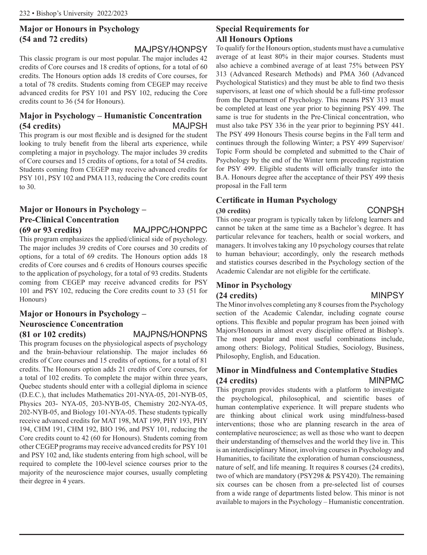# **Major or Honours in Psychology (54 and 72 credits)**

# MAJPSY/HONPSY

This classic program is our most popular. The major includes 42 credits of Core courses and 18 credits of options, for a total of 60 credits. The Honours option adds 18 credits of Core courses, for a total of 78 credits. Students coming from CEGEP may receive advanced credits for PSY 101 and PSY 102, reducing the Core credits count to 36 (54 for Honours).

# **Major in Psychology – Humanistic Concentration (54 credits)** MAJPSH

This program is our most flexible and is designed for the student looking to truly benefit from the liberal arts experience, while completing a major in psychology. The major includes 39 credits of Core courses and 15 credits of options, for a total of 54 credits. Students coming from CEGEP may receive advanced credits for PSY 101, PSY 102 and PMA 113, reducing the Core credits count to 30.

# **Major or Honours in Psychology – Pre-Clinical Concentration**

**(69 or 93 credits)** MAJPPC/HONPPC

This program emphasizes the applied/clinical side of psychology. The major includes 39 credits of Core courses and 30 credits of options, for a total of 69 credits. The Honours option adds 18 credits of Core courses and 6 credits of Honours courses specific to the application of psychology, for a total of 93 credits. Students coming from CEGEP may receive advanced credits for PSY 101 and PSY 102, reducing the Core credits count to 33 (51 for Honours)

# **Major or Honours in Psychology – Neuroscience Concentration (81 or 102 credits)** MAJPNS/HONPNS

This program focuses on the physiological aspects of psychology and the brain-behaviour relationship. The major includes 66 credits of Core courses and 15 credits of options, for a total of 81 credits. The Honours option adds 21 credits of Core courses, for a total of 102 credits. To complete the major within three years, Quebec students should enter with a collegial diploma in science (D.E.C.), that includes Mathematics 201-NYA-05, 201-NYB-05, Physics 203- NYA-05, 203-NYB-05, Chemistry 202-NYA-05, 202-NYB-05, and Biology 101-NYA-05. These students typically receive advanced credits for MAT 198, MAT 199, PHY 193, PHY 194, CHM 191, CHM 192, BIO 196, and PSY 101, reducing the Core credits count to 42 (60 for Honours). Students coming from other CEGEP programs may receive advanced credits for PSY 101 and PSY 102 and, like students entering from high school, will be required to complete the 100-level science courses prior to the majority of the neuroscience major courses, usually completing their degree in 4 years.

# **Special Requirements for All Honours Options**

To qualify for the Honours option, students must have a cumulative average of at least 80% in their major courses. Students must also achieve a combined average of at least 75% between PSY 313 (Advanced Research Methods) and PMA 360 (Advanced Psychological Statistics) and they must be able to find two thesis supervisors, at least one of which should be a full-time professor from the Department of Psychology. This means PSY 313 must be completed at least one year prior to beginning PSY 499. The same is true for students in the Pre-Clinical concentration, who must also take PSY 336 in the year prior to beginning PSY 441. The PSY 499 Honours Thesis course begins in the Fall term and continues through the following Winter; a PSY 499 Supervisor/ Topic Form should be completed and submitted to the Chair of Psychology by the end of the Winter term preceding registration for PSY 499. Eligible students will officially transfer into the B.A. Honours degree after the acceptance of their PSY 499 thesis proposal in the Fall term

# **Certificate in Human Psychology**

# **(30 credits)** CONPSH

This one-year program is typically taken by lifelong learners and cannot be taken at the same time as a Bachelor's degree. It has particular relevance for teachers, health or social workers, and managers. It involves taking any 10 psychology courses that relate to human behaviour; accordingly, only the research methods and statistics courses described in the Psychology section of the Academic Calendar are not eligible for the certificate.

# **Minor in Psychology (24 credits)** MINPSY

The Minor involves completing any 8 courses from the Psychology section of the Academic Calendar, including cognate course options. This flexible and popular program has been joined with Majors/Honours in almost every discipline offered at Bishop's. The most popular and most useful combinations include, among others: Biology, Political Studies, Sociology, Business, Philosophy, English, and Education.

# **Minor in Mindfulness and Contemplative Studies (24 credits)** MINPMC

This program provides students with a platform to investigate the psychological, philosophical, and scientific bases of human contemplative experience. It will prepare students who are thinking about clinical work using mindfulness-based interventions; those who are planning research in the area of contemplative neuroscience; as well as those who want to deepen their understanding of themselves and the world they live in. This is an interdisciplinary Minor, involving courses in Psychology and Humanities, to facilitate the exploration of human consciousness, nature of self, and life meaning. It requires 8 courses (24 credits), two of which are mandatory (PSY298 & PSY420). The remaining six courses can be chosen from a pre-selected list of courses from a wide range of departments listed below. This minor is not available to majors in the Psychology – Humanistic concentration.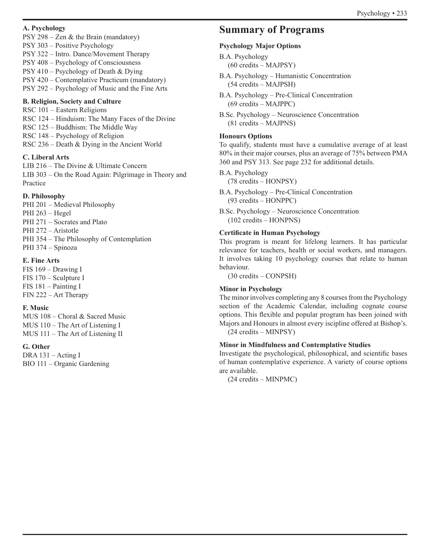#### **A. Psychology**

PSY 298 – Zen & the Brain (mandatory) PSY 303 – Positive Psychology PSY 322 – Intro. Dance/Movement Therapy PSY 408 – Psychology of Consciousness PSY 410 – Psychology of Death & Dying PSY 420 – Contemplative Practicum (mandatory) PSY 292 – Psychology of Music and the Fine Arts

#### **B. Religion, Society and Culture**

RSC 101 – Eastern Religions RSC 124 – Hinduism: The Many Faces of the Divine RSC 125 – Buddhism: The Middle Way RSC 148 – Psychology of Religion RSC 236 – Death & Dying in the Ancient World

#### **C. Liberal Arts**

LIB 216 – The Divine & Ultimate Concern LIB 303 – On the Road Again: Pilgrimage in Theory and Practice

#### **D. Philosophy**

PHI 201 – Medieval Philosophy PHI 263 – Hegel PHI 271 – Socrates and Plato PHI 272 – Aristotle PHI 354 – The Philosophy of Contemplation PHI 374 – Spinoza

#### **E. Fine Arts**

FIS 169 – Drawing I FIS 170 – Sculpture I FIS 181 – Painting I FIN 222 – Art Therapy

#### **F. Music**

MUS 108 – Choral & Sacred Music MUS 110 – The Art of Listening I MUS 111 – The Art of Listening II

## **G. Other**

DRA 131 – Acting I BIO 111 – Organic Gardening

# **Summary of Programs**

## **Psychology Major Options**

- B.A. Psychology (60 credits – MAJPSY)
- B.A. Psychology Humanistic Concentration (54 credits – MAJPSH)
- B.A. Psychology Pre-Clinical Concentration (69 credits – MAJPPC)

B.Sc. Psychology – Neuroscience Concentration (81 credits – MAJPNS)

#### **Honours Options**

To qualify, students must have a cumulative average of at least 80% in their major courses, plus an average of 75% between PMA 360 and PSY 313. See page 232 for additional details.

B.A. Psychology

(78 credits – HONPSY)

B.A. Psychology – Pre-Clinical Concentration (93 credits – HONPPC)

B.Sc. Psychology – Neuroscience Concentration (102 credits – HONPNS)

#### **Certificate in Human Psychology**

This program is meant for lifelong learners. It has particular relevance for teachers, health or social workers, and managers. It involves taking 10 psychology courses that relate to human behaviour.

(30 credits – CONPSH)

#### **Minor in Psychology**

The minor involves completing any 8 courses from the Psychology section of the Academic Calendar, including cognate course options. This flexible and popular program has been joined with Majors and Honours in almost every iscipline offered at Bishop's. (24 credits – MINPSY)

#### **Minor in Mindfulness and Contemplative Studies**

Investigate the psychological, philosophical, and scientific bases of human contemplative experience. A variety of course options are available.

(24 credits – MINPMC)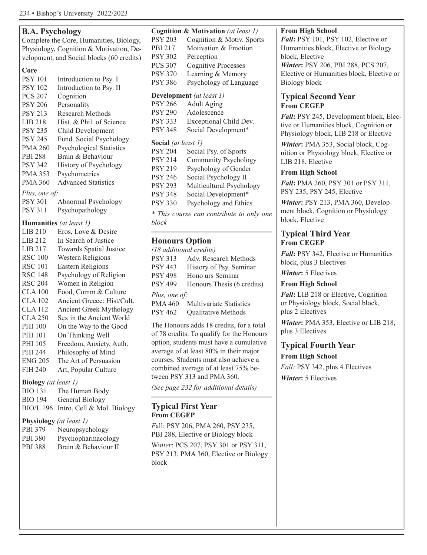| <b>B.A. Psychology</b>           |                                                     |                            | Cognition & Motivation (at least 1)    |
|----------------------------------|-----------------------------------------------------|----------------------------|----------------------------------------|
|                                  | Complete the Core, Humanities, Biology,             | <b>PSY 203</b>             | Cognition & Motiv. Spor                |
|                                  | Physiology, Cognition & Motivation, De-             | PBI 217                    | Motivation & Emotion                   |
|                                  | velopment, and Social blocks (60 credits)           | <b>PSY 302</b>             | Perception                             |
|                                  |                                                     | <b>PCS 307</b>             | <b>Cognitive Processes</b>             |
| Core                             |                                                     | <b>PSY 370</b>             | Learning & Memory                      |
| <b>PSY 101</b>                   | Introduction to Psy. I                              | <b>PSY 386</b>             | Psychology of Language                 |
| <b>PSY 102</b>                   | Introduction to Psy. II                             |                            | Development (at least 1)               |
| <b>PCS 207</b><br><b>PSY 206</b> | Cognition<br>Personality                            | <b>PSY 266</b>             | <b>Adult Aging</b>                     |
| <b>PSY 213</b>                   | <b>Research Methods</b>                             | <b>PSY 290</b>             | Adolescence                            |
| LIB 218                          | Hist. & Phil. of Science                            | <b>PSY 333</b>             | Exceptional Child Dev.                 |
| <b>PSY 235</b>                   | Child Development                                   | <b>PSY 348</b>             | Social Development*                    |
| <b>PSY 245</b>                   | Fund. Social Psychology                             |                            |                                        |
| <b>PMA 260</b>                   | <b>Psychological Statistics</b>                     | <b>Social</b> (at least 1) |                                        |
| <b>PBI 288</b>                   | Brain & Behaviour                                   | <b>PSY 204</b>             | Social Psy. of Sports                  |
| <b>PSY 342</b>                   | History of Psychology                               | <b>PSY 214</b>             | <b>Community Psychology</b>            |
| <b>PMA 353</b>                   | Psychometrics                                       | <b>PSY 219</b>             | Psychology of Gender                   |
| <b>PMA 360</b>                   | <b>Advanced Statistics</b>                          | <b>PSY 246</b>             | Social Psychology II                   |
|                                  |                                                     | <b>PSY 293</b>             | Multicultural Psychology               |
| Plus, one of:                    |                                                     | <b>PSY 348</b>             | Social Development*                    |
| <b>PSY 301</b>                   | Abnormal Psychology                                 | <b>PSY 330</b>             | Psychology and Ethics                  |
| <b>PSY 311</b>                   | Psychopathology                                     |                            | * This course can contribute to only   |
|                                  | Humanities (at least 1)                             | <b>block</b>               |                                        |
| LIB 210                          | Eros, Love & Desire                                 |                            |                                        |
| LIB 212                          | In Search of Justice                                | <b>Honours Option</b>      |                                        |
| LIB 217                          | Towards Spatial Justice                             |                            | (18 additional credits)                |
| <b>RSC 100</b>                   | Western Religions                                   | <b>PSY 313</b>             | Adv. Research Methods                  |
| <b>RSC 101</b>                   | <b>Eastern Religions</b>                            | <b>PSY 443</b>             | History of Psy. Seminar                |
| <b>RSC 148</b>                   | Psychology of Religion                              | <b>PSY 498</b>             | Hono urs Seminar                       |
| <b>RSC 204</b>                   | Women in Religion                                   | <b>PSY 499</b>             | Honours Thesis (6 credits              |
| <b>CLA 100</b>                   | Food, Comm & Culture                                | Plus, one of:              |                                        |
| <b>CLA 102</b>                   | Ancient Greece: Hist/Cult.                          | <b>PMA 460</b>             | <b>Multivariate Statistics</b>         |
| <b>CLA 112</b><br><b>CLA 250</b> | Ancient Greek Mythology<br>Sex in the Ancient World | <b>PSY 462</b>             | Qualitative Methods                    |
| PHI 100                          | On the Way to the Good                              |                            | The Honours adds 18 credits, for a to  |
| PHI 101                          | On Thinking Well                                    |                            | of 78 credits. To qualify for the Hono |
| PHI 105                          | Freedom, Anxiety, Auth.                             |                            | option, students must have a cumulati  |
| PHI 244                          | Philosophy of Mind                                  |                            | average of at least 80% in their major |
| <b>ENG 205</b>                   | The Art of Persuasion                               |                            | courses. Students must also achieve a  |
| <b>FIH 240</b>                   | Art, Popular Culture                                |                            | combined average of at least 75% be-   |
|                                  |                                                     |                            | tween PSY 313 and PMA 360.             |
| <b>Biology</b> (at least 1)      |                                                     |                            | (See page 232 for additional details)  |
| <b>BIO 131</b>                   | The Human Body                                      |                            |                                        |
| <b>BIO 194</b>                   | General Biology                                     |                            |                                        |
|                                  | BIO/L 196 Intro. Cell & Mol. Biology                | <b>From CEGEP</b>          | <b>Typical First Year</b>              |
|                                  | Physiology (at least 1)                             |                            |                                        |
| PBI 379                          | Neuropsychology                                     |                            | Fall: PSY 206, PMA 260, PSY 235,       |
| <b>PBI 380</b>                   | Psychopharmacology                                  |                            | PBI 288, Elective or Biology block     |
| <b>PBI 388</b>                   | Brain & Behaviour II                                |                            | Winter: PCS 207, PSY 301 or PSY 31     |
|                                  |                                                     |                            | PSY 213, PMA 360, Elective or Biolo    |
|                                  |                                                     | block                      |                                        |
|                                  |                                                     |                            |                                        |
|                                  |                                                     |                            |                                        |
|                                  |                                                     |                            |                                        |
|                                  |                                                     |                            |                                        |

| <b>PSY 203</b>      | Cognition & Motiv. Sports                |
|---------------------|------------------------------------------|
| PBI 217             | Motivation & Emotion                     |
| <b>PSY 302</b>      | Perception                               |
| PCS 307             | <b>Cognitive Processes</b>               |
| PSY 370             | Learning & Memory                        |
| PSY 386             | Psychology of Language                   |
|                     | Development (at least 1)                 |
| <b>PSY 266</b>      | <b>Adult Aging</b>                       |
| PSY 290             | Adolescence                              |
| PSY 333             | Exceptional Child Dev.                   |
| <b>PSY 348</b>      | Social Development*                      |
| Social (at least 1) |                                          |
| <b>PSY 204</b>      | Social Psy. of Sports                    |
| PSY 214             | Community Psychology                     |
| <b>PSY 219</b>      | Psychology of Gender                     |
| <b>PSY 246</b>      | Social Psychology II                     |
| PSY 293             | Multicultural Psychology                 |
| PSY 348             | Social Development*                      |
| PSY 330             | Psychology and Ethics                    |
|                     | * This course can contribute to only one |
| block               |                                          |
| Hanaure Antion      |                                          |

| (18 additional credits) |                            |
|-------------------------|----------------------------|
| PSY 313                 | Adv. Research Methods      |
| PSY 443                 | History of Psy. Seminar    |
| PSY 498                 | Hono urs Seminar           |
| PSY 499                 | Honours Thesis (6 credits) |
| Plus, one of:           |                            |
| PMA 460                 | Multivariate Statistics    |
| PSY 462                 | Qualitative Methods        |
|                         |                            |

8 credits, for a total lify for the Honours t have a cumulative  $9%$  in their major st also achieve a at least 75% be-PMA 360.

# **Typical First Year**

260, PSY 235, Biology block Y 301 or PSY 311, **Elective or Biology** 

## **From High School**

*Fall***:** PSY 101, PSY 102, Elective or Humanities block, Elective or Biology block, Elective

*Winter***:** PSY 206, PBI 288, PCS 207, Elective or Humanities block, Elective or Biology block

# **Typical Second Year From CEGEP**

*Fall***:** PSY 245, Development block, Elective or Humanities block, Cognition or Physiology block, LIB 218 or Elective

*Winter***:** PMA 353, Social block, Cognition or Physiology block, Elective or LIB 218, Elective

# **From High School**

*Fall***:** PMA 260, PSY 301 or PSY 311, PSY 235, PSY 245, Elective

*Winter***:** PSY 213, PMA 360, Development block, Cognition or Physiology block, Elective

# **Typical Third Year From CEGEP**

*Fall***:** PSY 342, Elective or Humanities block, plus 3 Electives

*Wint***e***r***:** 5 Electives

## **From High School**

*Fall***:** LIB 218 or Elective, Cognition or Physiology block, Social block, plus 2 Electives

*Winter***:** PMA 353, Elective or LIB 218, plus 3 Electives

# **Typical Fourth Year**

**From High School** *Fall:* PSY 342, plus 4 Electives *Winter***:** 5 Electives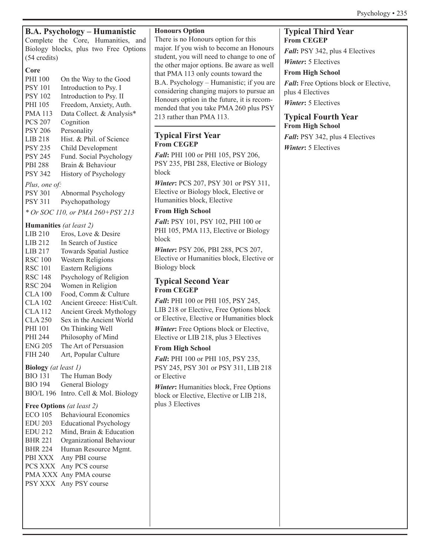| <b>B.A. Psychology – Humanistic</b>                           | <b>Honours Option</b>                          | <b>Typical Third Year</b>             |
|---------------------------------------------------------------|------------------------------------------------|---------------------------------------|
| Complete the Core, Humanities, and                            | There is no Honours option for this            | <b>From CEGEP</b>                     |
| Biology blocks, plus two Free Options                         | major. If you wish to become an Honours        | Fall: PSY 342, plus 4 Electives       |
| $(54 \text{ credits})$                                        | student, you will need to change to one of     | <b>Winter: 5 Electives</b>            |
| Core                                                          | the other major options. Be aware as well      | <b>From High School</b>               |
| PHI 100<br>On the Way to the Good                             | that PMA 113 only counts toward the            |                                       |
| <b>PSY 101</b><br>Introduction to Psy. I                      | B.A. Psychology – Humanistic; if you are       | Fall: Free Options block or Elective, |
| <b>PSY 102</b><br>Introduction to Psy. II                     | considering changing majors to pursue an       | plus 4 Electives                      |
| PHI 105<br>Freedom, Anxiety, Auth.                            | Honours option in the future, it is recom-     | <b>Winter: 5 Electives</b>            |
| <b>PMA113</b><br>Data Collect. & Analysis*                    | mended that you take PMA 260 plus PSY          |                                       |
| <b>PCS 207</b><br>Cognition                                   | 213 rather than PMA 113.                       | <b>Typical Fourth Year</b>            |
| <b>PSY 206</b><br>Personality                                 |                                                | <b>From High School</b>               |
| Hist. & Phil. of Science<br><b>LIB 218</b>                    | <b>Typical First Year</b>                      | Fall: PSY 342, plus 4 Electives       |
| <b>PSY 235</b><br>Child Development                           | <b>From CEGEP</b>                              | <b>Winter: 5 Electives</b>            |
| <b>PSY 245</b><br>Fund. Social Psychology                     | Fall: PHI 100 or PHI 105, PSY 206,             |                                       |
| <b>PBI 288</b><br>Brain & Behaviour                           | PSY 235, PBI 288, Elective or Biology          |                                       |
| <b>PSY 342</b><br>History of Psychology                       | block                                          |                                       |
| Plus, one of:                                                 | Winter: PCS 207, PSY 301 or PSY 311,           |                                       |
| <b>PSY 301</b><br>Abnormal Psychology                         | Elective or Biology block, Elective or         |                                       |
| <b>PSY 311</b><br>Psychopathology                             | Humanities block, Elective                     |                                       |
| * Or SOC 110, or PMA 260+PSY 213                              | <b>From High School</b>                        |                                       |
|                                                               | Fall: PSY 101, PSY 102, PHI 100 or             |                                       |
| Humanities (at least 2)                                       | PHI 105, PMA 113, Elective or Biology          |                                       |
| <b>LIB 210</b><br>Eros, Love & Desire                         | block                                          |                                       |
| LIB 212<br>In Search of Justice                               |                                                |                                       |
| LIB 217<br>Towards Spatial Justice                            | Winter: PSY 206, PBI 288, PCS 207,             |                                       |
| <b>RSC 100</b><br>Western Religions                           | Elective or Humanities block, Elective or      |                                       |
| <b>RSC 101</b><br><b>Eastern Religions</b>                    | <b>Biology block</b>                           |                                       |
| <b>RSC 148</b><br>Psychology of Religion                      | <b>Typical Second Year</b>                     |                                       |
| <b>RSC 204</b><br>Women in Religion                           | <b>From CEGEP</b>                              |                                       |
| Food, Comm & Culture<br><b>CLA 100</b>                        | Fall: PHI 100 or PHI 105, PSY 245,             |                                       |
| <b>CLA 102</b><br>Ancient Greece: Hist/Cult.                  | LIB 218 or Elective, Free Options block        |                                       |
| <b>CLA 112</b><br>Ancient Greek Mythology                     | or Elective, Elective or Humanities block      |                                       |
| <b>CLA 250</b><br>Sex in the Ancient World<br>PHI 101         |                                                |                                       |
| On Thinking Well<br>PHI 244                                   | <b>Winter:</b> Free Options block or Elective, |                                       |
| Philosophy of Mind<br>The Art of Persuasion<br><b>ENG 205</b> | Elective or LIB 218, plus 3 Electives          |                                       |
| <b>FIH 240</b><br>Art, Popular Culture                        | <b>From High School</b>                        |                                       |
|                                                               | Fall: PHI 100 or PHI 105, PSY 235,             |                                       |
| <b>Biology</b> (at least 1)                                   | PSY 245, PSY 301 or PSY 311, LIB 218           |                                       |
| The Human Body<br><b>BIO 131</b>                              | or Elective                                    |                                       |
| <b>BIO 194</b><br>General Biology                             | <b>Winter:</b> Humanities block, Free Options  |                                       |
| BIO/L 196 Intro. Cell & Mol. Biology                          | block or Elective, Elective or LIB 218,        |                                       |
| Free Options (at least 2)                                     | plus 3 Electives                               |                                       |
| <b>Behavioural Economics</b><br><b>ECO 105</b>                |                                                |                                       |
| <b>EDU 203</b><br><b>Educational Psychology</b>               |                                                |                                       |
| <b>EDU 212</b><br>Mind, Brain & Education                     |                                                |                                       |
| <b>BHR 221</b><br>Organizational Behaviour                    |                                                |                                       |
| <b>BHR 224</b><br>Human Resource Mgmt.                        |                                                |                                       |
| PBI XXX Any PBI course                                        |                                                |                                       |
| PCS XXX Any PCS course                                        |                                                |                                       |
| PMA XXX Any PMA course                                        |                                                |                                       |
| PSY XXX Any PSY course                                        |                                                |                                       |
|                                                               |                                                |                                       |
|                                                               |                                                |                                       |
|                                                               |                                                |                                       |
|                                                               |                                                |                                       |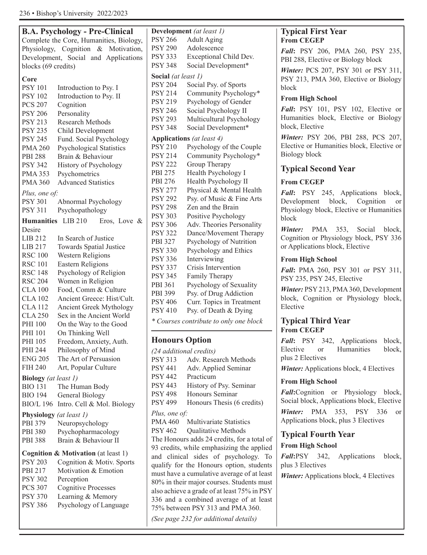|                                | <b>B.A. Psychology - Pre-Clinical</b>          | Development                      |                      |
|--------------------------------|------------------------------------------------|----------------------------------|----------------------|
|                                | Complete the Core, Humanities, Biology,        | <b>PSY 266</b>                   | A <sub>0</sub>       |
|                                | Physiology, Cognition & Motivation,            | <b>PSY 290</b>                   | A                    |
|                                | Development, Social and Applications           | <b>PSY 333</b>                   | Ex                   |
| blocks (69 credits)            |                                                | <b>PSY 348</b>                   | So                   |
| Core                           |                                                | Social (at least                 |                      |
| <b>PSY 101</b>                 | Introduction to Psy. I                         | <b>PSY 204</b>                   | So                   |
| <b>PSY 102</b>                 | Introduction to Psy. II                        | <b>PSY 214</b>                   | C <sub>C</sub>       |
| <b>PCS 207</b>                 | Cognition                                      | <b>PSY 219</b>                   | P <sub>S</sub>       |
| <b>PSY 206</b>                 | Personality                                    | <b>PSY 246</b>                   | So                   |
| <b>PSY 213</b>                 | <b>Research Methods</b>                        | <b>PSY 293</b>                   | М                    |
| <b>PSY 235</b>                 | Child Development                              | <b>PSY 348</b>                   | So                   |
| <b>PSY 245</b>                 | Fund. Social Psychology                        | <b>Applications</b>              |                      |
| <b>PMA 260</b>                 | <b>Psychological Statistics</b>                | <b>PSY 210</b>                   | Ps                   |
| <b>PBI 288</b>                 | Brain & Behaviour                              | <b>PSY 214</b>                   | C <sub>C</sub>       |
| <b>PSY 342</b>                 | History of Psychology                          | <b>PSY 222</b>                   | Gi                   |
| <b>PMA 353</b>                 | Psychometrics                                  | PBI 275                          | H <sub>6</sub>       |
| <b>PMA 360</b>                 | <b>Advanced Statistics</b>                     | PBI 276                          | H <sub>6</sub>       |
| Plus, one of:                  |                                                | <b>PSY 277</b>                   | Ph                   |
| <b>PSY 301</b>                 | Abnormal Psychology                            | <b>PSY 292</b>                   | Ps                   |
| <b>PSY 311</b>                 | Psychopathology                                | <b>PSY 298</b>                   | Ze                   |
| Humanities LIB 210             |                                                | <b>PSY 303</b>                   | Po                   |
| Desire                         | Eros, Love $\&$                                | <b>PSY 306</b>                   | A                    |
| LIB 212                        | In Search of Justice                           | <b>PSY 322</b>                   | Dε                   |
| LIB 217                        | Towards Spatial Justice                        | PBI 327                          | Ps                   |
| <b>RSC 100</b>                 | Western Religions                              | <b>PSY 330</b>                   | Ps                   |
| <b>RSC 101</b>                 | <b>Eastern Religions</b>                       | <b>PSY 336</b>                   | In                   |
| <b>RSC 148</b>                 | Psychology of Religion                         | <b>PSY 337</b>                   | Cr                   |
| <b>RSC 204</b>                 | Women in Religion                              | <b>PSY 345</b>                   | Fa                   |
| <b>CLA 100</b>                 | Food, Comm & Culture                           | PBI 361                          | Ps                   |
| <b>CLA 102</b>                 | Ancient Greece: Hist/Cult.                     | PBI 399                          | Ps                   |
| <b>CLA 112</b>                 | Ancient Greek Mythology                        | <b>PSY 406</b><br><b>PSY 410</b> | C <sub>l</sub><br>Ps |
| <b>CLA 250</b>                 | Sex in the Ancient World                       |                                  |                      |
| <b>PHI 100</b>                 | On the Way to the Good                         | * Courses cont                   |                      |
| PHI 101                        | On Thinking Well                               |                                  |                      |
| PHI 105                        | Freedom, Anxiety, Auth.                        | <b>Honours O</b>                 |                      |
| PHI 244                        | Philosophy of Mind                             | (24 additional                   |                      |
| <b>ENG 205</b>                 | The Art of Persuasion                          | <b>PSY 313</b>                   | A                    |
| FIH 240                        | Art, Popular Culture                           | <b>PSY 441</b>                   | A                    |
| <b>Biology</b> (at least 1)    |                                                | <b>PSY 442</b>                   | Pr                   |
| <b>BIO 131</b>                 | The Human Body                                 | <b>PSY 443</b>                   | Hi                   |
| <b>BIO 194</b>                 | General Biology                                | <b>PSY 498</b>                   | H                    |
| <b>BIO/L 196</b>               | Intro. Cell & Mol. Biology                     | <b>PSY 499</b>                   | H                    |
| <b>Physiology</b> (at least 1) |                                                | Plus, one of:                    |                      |
| PBI 379                        | Neuropsychology                                | <b>PMA 460</b>                   | М                    |
| <b>PBI 380</b>                 | Psychopharmacology                             | <b>PSY 462</b>                   | Qι                   |
| <b>PBI 388</b>                 | Brain & Behaviour II                           | The Honours a                    |                      |
|                                | <b>Cognition &amp; Motivation</b> (at least 1) | 93 credits, whi                  |                      |
| <b>PSY 203</b>                 | Cognition & Motiv. Sports                      | and clinical                     |                      |
| PBI 217                        | Motivation & Emotion                           | qualify for the                  |                      |
| <b>PSY 302</b>                 | Perception                                     | must have a cu                   |                      |
| <b>PCS 307</b>                 | <b>Cognitive Processes</b>                     | 80% in their m                   |                      |
| <b>PSY 370</b>                 | Learning & Memory                              | also achieve a g                 |                      |
| <b>PSY 386</b>                 | Psychology of Language                         | 336 and a cor                    |                      |
|                                |                                                | 75% between I                    |                      |
|                                |                                                | (See page 232                    |                      |
|                                |                                                |                                  |                      |

| Development (at least 1) |                                        |  |  |
|--------------------------|----------------------------------------|--|--|
| <b>PSY 266</b>           | <b>Adult Aging</b>                     |  |  |
| <b>PSY 290</b>           | Adolescence                            |  |  |
| <b>PSY 333</b>           | <b>Exceptional Child Dev.</b>          |  |  |
| <b>PSY 348</b>           | Social Development*                    |  |  |
| Social (at least 1)      |                                        |  |  |
| <b>PSY 204</b>           | Social Psy. of Sports                  |  |  |
| <b>PSY 214</b>           | Community Psychology*                  |  |  |
| <b>PSY 219</b>           | Psychology of Gender                   |  |  |
| <b>PSY 246</b>           | Social Psychology II                   |  |  |
| <b>PSY 293</b>           | Multicultural Psychology               |  |  |
| <b>PSY 348</b>           | Social Development*                    |  |  |
|                          | Applications (at least 4)              |  |  |
| <b>PSY 210</b>           | Psychology of the Couple               |  |  |
| PSY 214                  | Community Psychology*                  |  |  |
| PSY 222                  | Group Therapy                          |  |  |
| PBI 275                  | Health Psychology I                    |  |  |
| PBI 276                  | Health Psychology II                   |  |  |
| <b>PSY 277</b>           | Physical & Mental Health               |  |  |
| <b>PSY 292</b>           | Psy. of Music & Fine Arts              |  |  |
| <b>PSY 298</b>           | Zen and the Brain                      |  |  |
| <b>PSY 303</b>           | Positive Psychology                    |  |  |
| <b>PSY 306</b>           | Adv. Theories Personality              |  |  |
| <b>PSY 322</b>           | Dance/Movement Therapy                 |  |  |
| PBI 327                  | Psychology of Nutrition                |  |  |
| <b>PSY 330</b>           | Psychology and Ethics                  |  |  |
| <b>PSY 336</b>           | Interviewing                           |  |  |
| <b>PSY 337</b>           | Crisis Intervention                    |  |  |
| <b>PSY 345</b>           | Family Therapy                         |  |  |
| PBI 361                  | Psychology of Sexuality                |  |  |
| PBI 399                  | Psy. of Drug Addiction                 |  |  |
| <b>PSY 406</b>           | Curr. Topics in Treatment              |  |  |
| <b>PSY 410</b>           | Psy. of Death & Dying                  |  |  |
|                          | * Courses contribute to only one block |  |  |
| <b>Honours Option</b>    |                                        |  |  |

*(24 additional credits)* dv. Research Methods dv. Applied Seminar acticum istory of Psy. Seminar onours Seminar onours Thesis (6 credits) ultivariate Statistics alitative Methods dds 24 credits, for a total of ile emphasizing the applied sides of psychology. To Honours option, students mulative average of at least ajor courses. Students must grade of at least 75% in PSY nbined average of at least PSY 313 and PMA 360. *(See page 232 for additional details)*

# **Typical First Year From CEGEP**

*Fall***:** PSY 206, PMA 260, PSY 235, PBI 288, Elective or Biology block

*Winter:* PCS 207, PSY 301 or PSY 311, PSY 213, PMA 360, Elective or Biology block

## **From High School**

*Fall***:** PSY 101, PSY 102, Elective or Humanities block, Elective or Biology block, Elective

*Winter:* PSY 206, PBI 288, PCS 207, Elective or Humanities block, Elective or Biology block

# **Typical Second Year**

# **From CEGEP**

*Fall***:** PSY 245, Applications block, Development block, Cognition or Physiology block, Elective or Humanities block

*Winter:* PMA 353, Social block, Cognition or Physiology block, PSY 336 or Applications block, Elective

# **From High School**

*Fall***:** PMA 260, PSY 301 or PSY 311, PSY 235, PSY 245, Elective

*Winter:* PSY 213, PMA 360, Development block, Cognition or Physiology block, Elective

# **Typical Third Year From CEGEP**

*Fall***:** PSY 342, Applications block, Elective or Humanities block, plus 2 Electives

*Winter:* Applications block, 4 Electives

# **From High School**

*Fall***:**Cognition or Physiology block, Social block, Applications block, Elective *Winter:* PMA 353, PSY 336 or

Applications block, plus 3 Electives

# **Typical Fourth Year**

## **From High School**

*Fall***:**PSY 342, Applications block, plus 3 Electives

*Winter:* Applications block, 4 Electives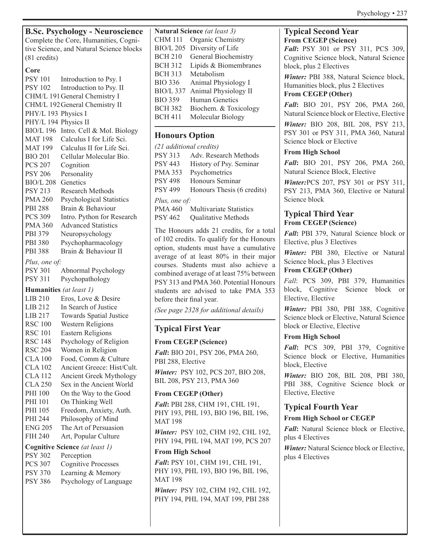**B.Sc. Psychology - Neuroscience**

Complete the Core, Humanities, Cognitive Science, and Natural Science blocks (81 credits)

## **Core**

PSY 101 Introduction to Psy. I PSY 102 Introduction to Psy. II CHM/L 191General Chemistry I CHM/L 192General Chemistry II PHY/L 193 Physics I PHY/L 194 Physics II BIO/L 196 Intro. Cell & Mol. Biology MAT 198 Calculus I for Life Sci. MAT 199 Calculus II for Life Sci. BIO 201 Cellular Molecular Bio. PCS 207 Cognition PSY 206 Personality BIO/L 208 Genetics PSY 213 Research Methods PMA 260 Psychological Statistics PBI 288 Brain & Behaviour PCS 309 Intro. Python for Research PMA 360 Advanced Statistics PBI 379 Neuropsychology PBI 380 Psychopharmacology PBI 388 Brain & Behaviour II *Plus, one of:* PSY 301 Abnormal Psychology PSY 311 Psychopathology **Humanities** *(at least 1)* LIB 210 Eros, Love & Desire LIB 212 In Search of Justice LIB 217 Towards Spatial Justice RSC 100 Western Religions RSC 101 Eastern Religions RSC 148 Psychology of Religion RSC 204 Women in Religion CLA 100 Food, Comm & Culture CLA 102 Ancient Greece: Hist/Cult. CLA 112 Ancient Greek Mythology CLA 250 Sex in the Ancient World PHI 100 On the Way to the Good PHI 101 On Thinking Well PHI 105 Freedom, Anxiety, Auth. PHI 244 Philosophy of Mind ENG 205 The Art of Persuasion FIH 240 Art, Popular Culture **Cognitive Science** *(at least 1)* PSY 302 Perception PCS 307 Cognitive Processes

PSY 370 Learning & Memory PSY 386 Psychology of Language

| Natural Science (at least 3) |                       |  |  |
|------------------------------|-----------------------|--|--|
| CHM 111                      | Organic Chemistry     |  |  |
| <b>BIO/L 205</b>             | Diversity of Life     |  |  |
| BCH 210                      | General Biochemistry  |  |  |
| <b>BCH 312</b>               | Lipids & Biomembranes |  |  |
| BCH 313                      | Metabolism            |  |  |
| <b>BIO 336</b>               | Animal Physiology I   |  |  |
| BIO/L 337                    | Animal Physiology II  |  |  |
| <b>BIO 359</b>               | <b>Human Genetics</b> |  |  |
| <b>BCH 382</b>               | Biochem. & Toxicology |  |  |
| BCH 411                      | Molecular Biology     |  |  |
|                              |                       |  |  |

# **Honours Option**

|                | (21 additional credits)        |
|----------------|--------------------------------|
| <b>PSY 313</b> | Adv. Research Methods          |
| <b>PSY 443</b> | History of Psy. Seminar        |
| <b>PMA 353</b> | Psychometrics                  |
| <b>PSY 498</b> | Honours Seminar                |
| <b>PSY 499</b> | Honours Thesis (6 credits)     |
| Plus, one of:  |                                |
| <b>PMA 460</b> | <b>Multivariate Statistics</b> |
| PSY 462        | Qualitative Methods            |

The Honours adds 21 credits, for a total of 102 credits. To qualify for the Honours option, students must have a cumulative average of at least 80% in their major courses. Students must also achieve a combined average of at least 75% between PSY 313 and PMA 360. Potential Honours students are advised to take PMA 353 before their final year.

*(See page 2328 for additional details)*

# **Typical First Year**

# **From CEGEP (Science)**

*Fall***:** BIO 201, PSY 206, PMA 260, PBI 288, Elective *Winter:* PSY 102, PCS 207, BIO 208, BIL 208, PSY 213, PMA 360

# **From CEGEP (Other)**

*Fall***:** PBI 288, CHM 191, CHL 191, PHY 193, PHL 193, BIO 196, BIL 196, MAT 198

*Winter:* PSY 102, CHM 192, CHL 192, PHY 194, PHL 194, MAT 199, PCS 207

# **From High School**

*Fall***:** PSY 101, CHM 191, CHL 191, PHY 193, PHL 193, BIO 196, BIL 196, MAT 198

*Winter:* PSY 102, CHM 192, CHL 192, PHY 194, PHL 194, MAT 199, PBI 288

# **Typical Second Year From CEGEP (Science)**

*Fall***:** PSY 301 or PSY 311, PCS 309, Cognitive Science block, Natural Science block, plus 2 Electives

*Winter:* PBI 388, Natural Science block, Humanities block, plus 2 Electives **From CEGEP (Other)**

*Fall***:** BIO 201, PSY 206, PMA 260, Natural Science block or Elective, Elective

*Winter:* BIO 208, BIL 208, PSY 213, PSY 301 or PSY 311, PMA 360, Natural Science block or Elective

# **From High School**

*Fall***:** BIO 201, PSY 206, PMA 260, Natural Science Block, Elective

*Winter:*PCS 207, PSY 301 or PSY 311, PSY 213, PMA 360, Elective or Natural Science block

# **Typical Third Year From CEGEP (Science)**

*Fall***:** PBI 379, Natural Science block or Elective, plus 3 Electives

*Winter:* PBI 380, Elective or Natural Science block, plus 3 Electives

## **From CEGEP (Other)**

*Fall*: PCS 309, PBI 379, Humanities block, Cognitive Science block or Elective, Elective

*Winter:* PBI 380, PBI 388, Cognitive Science block or Elective, Natural Science block or Elective, Elective

# **From High School**

*Fall***:** PCS 309, PBI 379, Cognitive Science block or Elective, Humanities block, Elective

*Winter:* BIO 208, BIL 208, PBI 380, PBI 388, Cognitive Science block or Elective, Elective

# **Typical Fourth Year**

# **From High School or CEGEP**

*Fall***:** Natural Science block or Elective, plus 4 Electives

*Winter:* Natural Science block or Elective, plus 4 Electives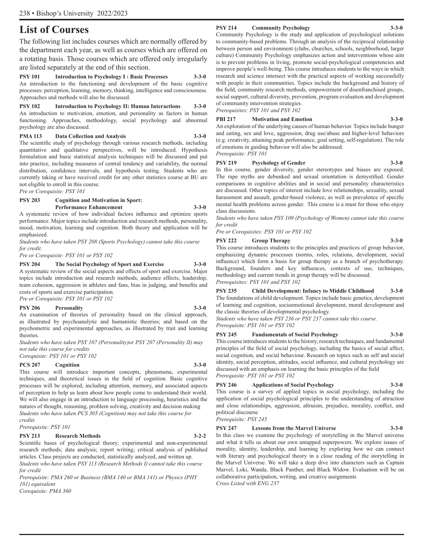# **List of Courses**

The following list includes courses which are normally offered by the department each year, as well as courses which are offered on a rotating basis. Those courses which are offered only irregularly are listed separately at the end of this section.

**PSY 101 Introduction to Psychology I : Basic Processes 3-3-0** An introduction to the functioning and development of the basic cognitive processes: perception, learning, memory, thinking, intelligence and consciousness. Approaches and methods will also be discussed.

**PSY 102 Introduction to Psychology II: Human Interactions 3-3-0** An introduction to motivation, emotion, and personality as factors in human functioning. Approaches, methodology, social psychology and abnormal psychology are also discussed.

#### **PMA 113 Data Collection and Analysis 3-3-0**

The scientific study of psychology through various research methods, including quantitative and qualitative perspectives, will be introduced. Hypothesis formulation and basic statistical analysis techniques will be discussed and put into practice, including measures of central tendency and variability, the normal distribution, confidence intervals, and hypothesis testing. Students who are currently taking or have received credit for any other statistics course at BU are not eligible to enroll in this course.

*Pre or Corequisite: PSY 101*

#### **PSY 203 Cognition and Motivation in Sport:**

**Performance Enhancement** 3-3-0

A systematic review of how individual factors influence and optimize sports performance. Major topics include introduction and research methods, personality, mood, motivation, learning and cognition. Both theory and application will be emphasized.

*Students who have taken PSY 208 (Sports Psychology) cannot take this course for credit.* 

*Pre or Corequisite: PSY 101 or PSY 102*

#### **PSY 204 The Social Psychology of Sport and Exercise 3-3-0**

A systematic review of the social aspects and effects of sport and exercise. Major topics include introduction and research methods, audience effects, leadership, team cohesion, aggression in athletes and fans, bias in judging, and benefits and costs of sports and exercise participation.

#### *Pre or Corequisite: PSY 101 or PSY 102*

#### **PSY 206 Personality 3-3-0**

An examination of theories of personality based on the clinical approach, as illustrated by psychoanalytic and humanistic theories; and based on the psychometric and experimental approaches, as illustrated by trait and learning theories.

*Students who have taken PSY 107 (Personality)or PSY 207 (Personality II) may not take this course for credits*

# *Corequisite: PSY 101 or PSY 102*

**PCS 207 Cognition 3-3-0**

This course will introduce important concepts, phenomena, experimental techniques, and theoretical issues in the field of cognition. Basic cognitive processes will be explored, including attention, memory, and associated aspects of perception to help us learn about how people come to understand their world. We will also engage in an introduction to language processing, heuristics and the natures of thought, reasoning, problem solving, creativity and decision making *Students who have taken PCS 305 (Cognition) may not take this course for credits*

*Prerequisite: PSY 101*

#### **PSY 213 Research Methods 3-2-2**

Scientific bases of psychological theory; experimental and non-experimental research methods; data analysis; report writing; critical analysis of published articles. Class projects are conducted, statistically analyzed, and written up. *Students who have taken PSY 113 (Research Methods I) cannot take this course* 

*for credit Prerequisite: PMA 260 or Business (BMA 140 or BMA 141) or Physics (PHY 101) equivalent*

*Corequisite: PMA 360*

#### **PSY 214 Community Psychology 3-3-0**

Community Psychology is the study and application of psychological solutions to community-based problems. Through an analysis of the reciprocal relationship between person and environment (clubs, churches, schools, neighborhood, larger culture) Community Psychology emphasizes action and interventions whose aim is to prevent problems in living, promote social-psychological competencies and improve people's well-being. This course introduces students to the ways in which research and science intersect with the practical aspects of working successfully with people in their communities. Topics include the background and history of the field, community research methods, empowerment of disenfranchised groups, social support, cultural diversity, prevention, program evaluation and development of community intervention strategies.

*Prerequisites: PSY 101 and PSY 102*

#### **PBI 217 Motivation and Emotion 3-3-0**

An exploration of the underlying causes of human behavior. Topics include hunger and eating, sex and love, aggression, drug use/abuse and higher-level behaviors (e.g. creativity, attaining peak performance, goal setting, self-regulation). The role of emotions in guiding behavior will also be addressed. *Prerequisite: PSY 101*

#### **PSY 219 Psychology of Gender 3-3-0**

In this course, gender diversity, gender stereotypes and biases are exposed. The rape myths are debunked and sexual orientation is demystified. Gender comparisons in cognitive abilities and in social and personality characteristics are discussed. Other topics of interest include love relationships, sexuality, sexual harassment and assault, gender-based violence, as well as prevalence of specific mental health problems across gender. This course is a must for those who enjoy class discussions.

*Students who have taken PSY 109 (Psychology of Women) cannot take this course for credit*

*Pre or Corequisites: PSY 101 or PSY 102*

#### **PSY 222 Group Therapy 3-3-0**

This course introduces students to the principles and practices of group behavior, emphasizing dynamic processes (norms, roles, relations, development, social influence) which form a basis for group therapy as a branch of psychotherapy. Background, founders and key influences, contexts of use, techniques, methodology and current trends in group therapy will be discussed. *Prerequisites: PSY 101 and PSY 102*

**PSY 235 Child Development: Infancy to Middle Childhood 3-3-0** The foundations of child development. Topics include basic genetics, development of learning and cognition, socioemotional development, moral development and the classic theories of developmental psychology.

*Students who have taken PSY 236 or PSY 237 cannot take this course. Prerequisite: PSY 101 or PSY 102*

#### **PSY 245 Fundamentals of Social Psychology 3-3-0**

This course introduces students to the history, research techniques, and fundamental principles of the field of social psychology, including the basics of social affect, social cognition, and social behaviour. Research on topics such as self and social identity, social perception, attitudes, social influence, and cultural psychology are discussed with an emphasis on learning the basic principles of the field *Prerequisite: PSY 101 or PSY 102*

#### **PSY 246 Applications of Social Psychology 3-3-0**

This course is a survey of applied topics in social psychology, including the application of social psychological principles to the understanding of attraction and close relationships, aggression, altruism, prejudice, morality, conflict, and political discourse

*Prerequisite: PSY 245*

#### **PSY 247 Lessons from the Marvel Universe 3-3-0**

In this class we examine the psychology of storytelling in the Marvel universe and what it tells us about our own untapped superpowers. We explore issues of morality, identity, leadership, and learning by exploring how we can connect with literary and psychological theory in a close reading of the storytelling in the Marvel Universe. We will take a deep dive into characters such as Captain Marvel, Loki, Wanda, Black Panther, and Black Widow. Evaluation will be on collaborative participation, writing, and creative assignments *Cross Listed with ENG 237*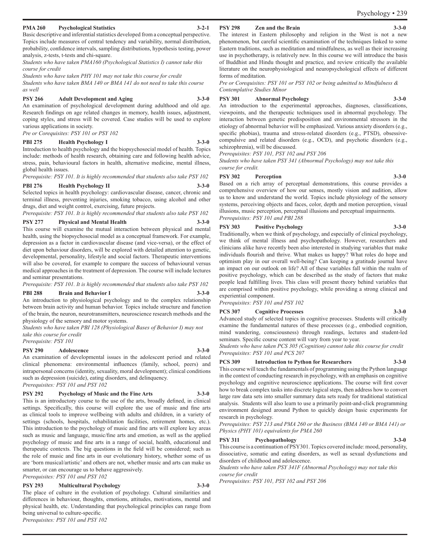#### **PMA 260 Psychological Statistics 3-2-1**

Basic descriptive and inferential statistics developed from a conceptual perspective. Topics include measures of central tendency and variability, normal distribution, probability, confidence intervals, sampling distributions, hypothesis testing, power analysis, z-tests, t-tests and chi-square.

*Students who have taken PMA160 (Psychological Statistics I) cannot take this course for credit*

*Students who have taken PHY 101 may not take this course for credit Students who have taken BMA 140 or BMA 141 do not need to take this course as well*

#### **PSY 266 Adult Development and Aging 3-3-0**

An examination of psychological development during adulthood and old age. Research findings on age related changes in memory, health issues, adjustment, coping styles, and stress will be covered. Case studies will be used to explore various applications in society.

*Pre or Corequisites: PSY 101 or PSY 102*

#### **PBI 275 Health Psychology I 3-3-0**

Introduction to health psychology and the biopsychosocial model of health. Topics include: methods of health research, obtaining care and following health advice, stress, pain, behavioural factors in health, alternative medicine, mental illness, global health issues.

*Prerequisite: PSY 101. It is highly recommended that students also take PSY 102*

#### **PBI 276 Health Psychology II 3-3-0**

Selected topics in health psychology: cardiovascular disease, cancer, chronic and terminal illness, preventing injuries, smoking tobacco, using alcohol and other drugs, diet and weight control, exercising, future projects.

*Prerequisite: PSY 101. It is highly recommended that students also take PSY 102*

#### **PSY 277 Physical and Mental Health 3-3-0**

This course will examine the mutual interaction between physical and mental health, using the biopsychosocial model as a conceptual framework. For example, depression as a factor in cardiovascular disease (and vice-versa), or the effect of diet upon behaviour disorders, will be explored with detailed attention to genetic, developmental, personality, lifestyle and social factors. Therapeutic interventions will also be covered, for example to compare the success of behavioural versus medical approaches in the treatment of depression. The course will include lectures and seminar presentations.

*Prerequisite: PSY 101. It is highly recommended that students also take PSY 102*

#### **PBI 288 Brain and Behavior I 3-3-0**

An introduction to physiological psychology and to the complex relationship between brain activity and human behavior. Topics include structure and function of the brain, the neuron, neurotransmitters, neuroscience research methods and the physiology of the sensory and motor systems.

*Students who have taken PBI 128 (Physiological Bases of Behavior I) may not take this course for credit*

*Prerequisite: PSY 101* 

#### **PSY 290 Adolescence 3-3-0**

An examination of developmental issues in the adolescent period and related clinical phenomena: environmental influences (family, school, peers) and intrapersonal concerns (identity, sexuality, moral development); clinical conditions such as depression (suicide), eating disorders, and delinquency. *Prerequisites: PSY 101 and PSY 102*

# **PSY 292 Psychology of Music and the Fine Arts 3-3-0**

This is an introductory course to the use of the arts, broadly defined, in clinical settings. Specifically, this course will explore the use of music and fine arts as clinical tools to improve wellbeing with adults and children, in a variety of settings (schools, hospitals, rehabilitation facilities, retirement homes, etc.). This introduction to the psychology of music and fine arts will explore key areas such as music and language, music/fine arts and emotion, as well as the applied psychology of music and fine arts in a range of social, health, educational and therapeutic contexts. The big questions in the field will be considered; such as the role of music and fine arts in our evolutionary history, whether some of us are 'born musical/artistic' and others are not, whether music and arts can make us smarter, or can encourage us to behave aggressively. *Prerequisites: PSY 101 and PSY 102*

## **PSY 293 Multicultural Psychology 3-3-0**

The place of culture in the evolution of psychology. Cultural similarities and differences in behaviour, thoughts, emotions, attitudes, motivations, mental and physical health, etc. Understanding that psychological principles can range from being universal to culture-specific. *Prerequisites: PSY 101 and PSY 102*

#### **PSY 298 Zen and the Brain**

The interest in Eastern philosophy and religion in the West is not a new phenomenon, but careful scientific examination of the techniques linked to some Eastern traditions, such as meditation and mindfulness, as well as their increasing use in psychotherapy, is relatively new. In this course we will introduce the basis of Buddhist and Hindu thought and practice, and review critically the available literature on the neurophysiological and neuropsychological effects of different forms of meditation.

*Pre or Corequisites: PSY 101 or PSY 102 or being admitted to Mindfulness & Contemplative Studies Minor* 

#### **PSY 301 Abnormal Psychology 3-3-0**

An introduction to the experimental approaches, diagnoses, classifications, viewpoints, and the therapeutic techniques used in abnormal psychology. The interaction between genetic predisposition and environmental stressors in the etiology of abnormal behavior will be emphasized. Various anxiety disorders (e.g., specific phobias), trauma and stress-related disorders (e.g., PTSD), obsessivecompulsive and related disorders (e.g., OCD), and psychotic disorders (e.g., schizophrenia), will be discussed.

*Prerequisites: PSY 101, PSY 102 and PSY 206*

*Students who have taken PSY 341 (Abnormal Psychology) may not take this course for credit.* 

#### **PSY 302 Perception 3-3-0**

Based on a rich array of perceptual demonstrations, this course provides a comprehensive overview of how our senses, mostly vision and audition, allow us to know and understand the world. Topics include physiology of the sensory systems, perceiving objects and faces, color, depth and motion perception, visual illusions, music perception, perceptual illusions and perceptual impairments. *Prerequisites: PSY 101 and PBI 288*

#### **PSY 303 Positive Psychology 3-3-0**

Traditionally, when we think of psychology, and especially of clinical psychology, we think of mental illness and psychopathology. However, researchers and clinicians alike have recently been also interested in studying variables that make individuals flourish and thrive. What makes us happy? What roles do hope and optimism play in our overall well-being? Can keeping a gratitude journal have an impact on our outlook on life? All of these variables fall within the realm of positive psychology, which can be described as the study of factors that make people lead fulfilling lives. This class will present theory behind variables that are comprised within positive psychology, while providing a strong clinical and experiential component.

*Prerequisites: PSY 101 and PSY 102*

#### **PCS 307 Cognitive Processes 3-3-0**

Advanced study of selected topics in cognitive processes. Students will critically examine the fundamental natures of these processes (e.g., embodied cognition, mind wandering, consciousness) through readings, lectures and student-led seminars. Specific course content will vary from year to year.

*Students who have taken PCS 305 (Cognition) cannot take this course for credit Prerequisites: PSY 101 and PCS 207*

#### **PCS 309 Introduction to Python for Researchers 3-3-0**

This course will teach the fundamentals of programming using the Python language in the context of conducting research in psychology, with an emphasis on cognitive psychology and cognitive neuroscience applications. The course will first cover how to break complex tasks into discrete logical steps, then address how to convert large raw data sets into smaller summary data sets ready for traditional statistical analysis. Students will also learn to use a primarily point-and-click programming environment designed around Python to quickly design basic experiments for research in psychology.

*Prerequisites: PSY 213 and PMA 260 or the Business (BMA 140 or BMA 141) or Physics (PHY 101) equivalents for PMA 260* 

#### **PSY 311 Psychopathology**

This course is a continuation of PSY301. Topics covered include: mood, personality, dissociative, somatic and eating disorders, as well as sexual dysfunctions and disorders of childhood and adolescence.

*Students who have taken PSY 341F (Abnormal Psychology) may not take this course for credit*

*Prerequisites: PSY 101, PSY 102 and PSY 206*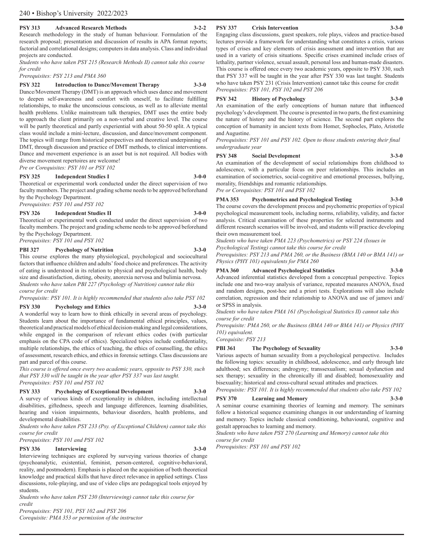#### **PSY 313 Advanced Research Methods 3-2-2**

Research methodology in the study of human behaviour. Formulation of the research proposal; presentation and discussion of results in APA format reports; factorial and correlational designs; computers in data analysis. Class and individual projects are conducted.

*Students who have taken PSY 215 (Research Methods II) cannot take this course for credit*

*Prerequisites: PSY 213 and PMA 360*

#### **PSY 322 Introduction to Dance/Movement Therapy 3-3-0**

Dance/Movement Therapy (DMT) is an approach which uses dance and movement to deepen self-awareness and comfort with oneself, to facilitate fulfilling relationships, to make the unconscious conscious, as well as to alleviate mental health problems. Unlike mainstream talk therapies, DMT uses the entire body to approach the client primarily on a non-verbal and creative level. The course will be partly theoretical and partly experiential with about 50-50 split. A typical class would include a mini-lecture, discussion, and dance/movement component. The topics will range from historical perspectives and theoretical underpinning of DMT, through discussion and practice of DMT methods, to clinical interventions. Dance and movement experience is an asset but is not required. All bodies with diverse movement repertoires are welcome!

*Pre or Corequisites: PSY 101 or PSY 102*

#### **PSY 325 Independent Studies I 3-0-0**

Theoretical or experimental work conducted under the direct supervision of two faculty members. The project and grading scheme needs to be approved beforehand by the Psychology Department.

*Prerequisites: PSY 101 and PSY 102*

#### **PSY 326 Independent Studies II 3-0-0**

Theoretical or experimental work conducted under the direct supervision of two faculty members. The project and grading scheme needs to be approved beforehand by the Psychology Department.

*Prerequisites: PSY 101 and PSY 102*

#### **PBI 327 Psychology of Nutrition 3-3-0**

This course explores the many physiological, psychological and sociocultural factors that influence children and adults' food choice and preferences. The activity of eating is understood in its relation to physical and psychological health, body size and dissatisfaction, dieting, obesity, anorexia nervosa and bulimia nervosa. *Students who have taken PBI 227 (Psychology of Nutrition) cannot take this course for credit*

*Prerequisite: PSY 101. It is highly recommended that students also take PSY 102*

#### **PSY 330** Psychology and Ethics

A wonderful way to learn how to think ethically in several areas of psychology. Students learn about the importance of fundamental ethical principles, values, theoretical and practical models of ethical decision-making and legal considerations, while engaged in the comparison of relevant ethics codes (with particular emphasis on the CPA code of ethics). Specialized topics include confidentiality, multiple relationships, the ethics of teaching, the ethics of counselling, the ethics of assessment, research ethics, and ethics in forensic settings. Class discussions are part and parcel of this course.

*This course is offered once every two academic years, opposite to PSY 330, such that PSY 330 will be taught in the year after PSY 337 was last taught. Prerequisites: PSY 101 and PSY 102*

#### **PSY 333 Psychology of Exceptional Development 3-3-0**

A survey of various kinds of exceptionality in children, including intellectual disabilities, giftedness, speech and language differences, learning disabilities, hearing and vision impairments, behaviour disorders, health problems, and developmental disabilities.

*Students who have taken PSY 233 (Psy. of Exceptional Children) cannot take this course for credit*

*Prerequisites: PSY 101 and PSY 102*

#### **PSY 336 Interviewing 3-3-0**

Interviewing techniques are explored by surveying various theories of change (psychoanalytic, existential, feminist, person-centered, cognitive-behavioral, reality, and postmodern). Emphasis is placed on the acquisition of both theoretical knowledge and practical skills that have direct relevance in applied settings. Class discussions, role-playing, and use of video clips are pedagogical tools enjoyed by students.

*Students who have taken PSY 230 (Interviewing) cannot take this course for credit*

*Prerequisites: PSY 101, PSY 102 and PSY 206 Corequisite: PMA 353 or permission of the instructor*

#### **PSY 337 Crisis Intervention 3-3-0**

Engaging class discussions, guest speakers, role plays, videos and practice-based lectures provide a framework for understanding what constitutes a crisis, various types of crises and key elements of crisis assessment and intervention that are used in a variety of crisis situations. Specific crises examined include crises of lethality, partner violence, sexual assault, personal loss and human-made disasters. This course is offered once every two academic years, opposite to PSY 330, such that PSY 337 will be taught in the year after PSY 330 was last taught. Students who have taken PSY 231 (Crisis Intervention) cannot take this course for credit *Prerequisites: PSY 101, PSY 102 and PSY 206*

#### **PSY 342 History of Psychology 3-3-0**

An examination of the early conceptions of human nature that influenced psychology's development. The course is presented in two parts, the first examining the nature of history and the history of science. The second part explores the conception of humanity in ancient texts from Homer, Sophocles, Plato, Aristotle and Augustine.

*Prerequisites: PSY 101 and PSY 102. Open to those students entering their final undergraduate year*

#### **PSY 348 Social Development 3-3-0**

An examination of the development of social relationships from childhood to adolescence, with a particular focus on peer relationships. This includes an examination of sociometrics, social-cognitive and emotional processes, bullying, morality, friendships and romantic relationships. *Pre or Corequisites: PSY 101 and PSY 102*

**PMA 353 Psychometrics and Psychological Testing 3-3-0**

The course covers the development process and psychometric properties of typical psychological measurement tools, including norms, reliability, validity, and factor analysis. Critical examination of these properties for selected instruments and different research scenarios will be involved, and students will practice developing their own measurement tool.

*Students who have taken PMA 223 (Psychometrics) or PSY 224 (Issues in* 

*Psychological Testing) cannot take this course for credit*

*Prerequisites: PSY 213 and PMA 260, or the Business (BMA 140 or BMA 141) or Physics (PHY 101) equivalents for PMA 260*

#### **PMA 360 Advanced Psychological Statistics 3-3-0**

Advanced inferential statistics developed from a conceptual perspective. Topics include one and two-way analysis of variance, repeated measures ANOVA, fixed and random designs, post-hoc and a priori tests. Explorations will also include correlation, regression and their relationship to ANOVA and use of jamovi and/ or SPSS in analysis.

*Students who have taken PMA 161 (Psychological Statistics II) cannot take this course for credit*

*Prerequisite: PMA 260, or the Business (BMA 140 or BMA 141) or Physics (PHY 101) equivalent.*

*Corequisite: PSY 213*

#### **PBI 361 The Psychology of Sexuality 3-3-0**

Various aspects of human sexuality from a psychological perspective. Includes the following topics: sexuality in childhood, adolescence, and early through late adulthood; sex differences; androgyny; transsexualism; sexual dysfunction and sex therapy; sexuality in the chronically ill and disabled; homosexuality and

bisexuality; historical and cross-cultural sexual attitudes and practices. *Prerequisite: PSY 101. It is highly recommended that students also take PSY 102*

#### **PSY 370 Learning and Memory 3-3-0**

A seminar course examining theories of learning and memory. The seminars follow a historical sequence examining changes in our understanding of learning and memory. Topics include classical conditioning, behavioural, cognitive and gestalt approaches to learning and memory.

*Students who have taken PSY 270 (Learning and Memory) cannot take this course for credit*

*Prerequisites: PSY 101 and PSY 102*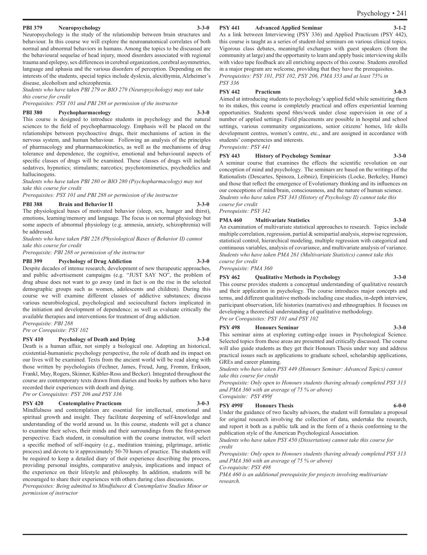#### **PBI 379 Neuropsychology 3-3-0**

Neuropsychology is the study of the relationship between brain structures and behaviour. In this course we will explore the neuroanatomical correlates of both normal and abnormal behaviors in humans. Among the topics to be discussed are the behavioural sequelae of head injury, mood disorders associated with regional trauma and epilepsy, sex differences in cerebral organization, cerebral asymmetries, language and aphasia and the various disorders of perception. Depending on the interests of the students, special topics include dyslexia, alexithymia, Alzheimer's disease, alcoholism and schizophrenia.

*Students who have taken PBI 279 or BIO 279 (Neuropsychology) may not take this course for credit*

*Prerequisites: PSY 101 and PBI 288 or permission of the instructor*

#### **PBI 380 Psychopharmacology 3-3-0**

This course is designed to introduce students in psychology and the natural sciences to the field of psychopharmacology. Emphasis will be placed on the relationships between psychoactive drugs, their mechanisms of action in the nervous system, and human behaviour. Following an analysis of the principles of pharmacology and pharmamacokinetics, as well as the mechanisms of drug tolerance and dependence, the cognitive, emotional and behavioural aspects of specific classes of drugs will be examined. These classes of drugs will include sedatives, hypnotics; stimulants; narcotics; psychotomimetics, psychedelics and hallucinogens.

*Students who have taken PBI 280 or BIO 280 (Psychopharmacology) may not take this course for credit*

*Prerequisites: PSY 101 and PBI 288 or permission of the instructor*

#### **PBI 388 Brain and Behavior II 3-3-0**

The physiological bases of motivated behavior (sleep, sex, hunger and thirst), emotions, learning/memory and language. The focus is on normal physiology but some aspects of abnormal physiology (e.g. amnesia, anxiety, schizophrenia) will be addressed.

*Students who have taken PBI 228 (Physiological Bases of Behavior II) cannot take this course for credit*

*Prerequisite: PBI 288 or permission of the instructor*

#### **PBI 399 Psychology of Drug Addiction 3-3-0**

Despite decades of intense research, development of new therapeutic approaches, and public advertisement campaigns (e.g. "JUST SAY NO", the problem of drug abuse does not want to go away (and in fact is on the rise in the selected demographic groups such as women, adolescents and children). During this course we will examine different classes of addictive substances; discuss various neurobiological, psychological and sociocultural factors implicated in the initiation and development of dependence; as well as evaluate critically the available therapies and interventions for treatment of drug addiction.

*Prerequisite: PBI 288 Pre or Corequisite: PSY 102*

#### **PSY 410 Psychology of Death and Dying 3-3-0**

Death is a human affair, not simply a biological one. Adopting an historical, existential-humanistic psychology perspective, the role of death and its impact on our lives will be examined. Texts from the ancient world will be read along with those written by psychologists (Fechner, James, Freud, Jung, Fromm, Erikson, Frankl, May, Rogers, Skinner, Kübler-Ross and Becker). Integrated throughout the course are contemporary texts drawn from diaries and books by authors who have recorded their experiences with death and dying. *Pre or Corequisites: PSY 206 and PSY 336*

# **PSY 420 Contemplative Practicum 3-0-3**

Mindfulness and contemplation are essential for intellectual, emotional and spiritual growth and insight. They facilitate deepening of self-knowledge and understanding of the world around us. In this course, students will get a chance to examine their selves, their minds and their surroundings from the first-person perspective. Each student, in consultation with the course instructor, will select a specific method of self-inquiry (e.g., meditation training, pilgrimage, artistic process) and devote to it approximately 50-70 hours of practice. The students will be required to keep a detailed diary of their experience describing the process, providing personal insights, comparative analysis, implications and impact of the experience on their lifestyle and philosophy. In addition, students will be encouraged to share their experiences with others during class discussions.

*Prerequisites: Being admitted to Mindfulness & Contemplative Studies Minor or permission of instructor*

#### **PSY 441** Advanced Applied Seminar

As a link between Interviewing (PSY 336) and Applied Practicum (PSY 442), this course is taught as a series of student-led seminars on various clinical topics. Vigorous class debates, meaningful exchanges with guest speakers (from the community at large) and the opportunity to learn and apply basic interviewing skills with video tape feedback are all enriching aspects of this course. Students enrolled in a major program are welcome, providing that they have the prerequisites. *Prerequisites: PSY 101, PSY 102, PSY 206, PMA 353 and at least 75% in PSY 336*

#### **PSY 442 Practicum 3-0-3**

Aimed at introducing students to psychology's applied field while sensitizing them to its stakes, this course is completely practical and offers experiential learning opportunities. Students spend 6hrs/week under close supervision in one of a number of applied settings. Field placements are possible in hospital and school settings, various community organizations, senior citizens' homes, life skills development centres, women's centre, etc., and are assigned in accordance with students' competencies and interests. *Prerequisite: PSY 441*

#### **PSY 443 History of Psychology Seminar 3-3-0**

A seminar course that examines the effects the scientific revolution on our conception of mind and psychology. The seminars are based on the writings of the Rationalists (Descartes, Spinoza, Leibniz), Empiricists (Locke, Berkeley, Hume) and those that reflect the emergence of Evolutionary thinking and its influences on our conceptions of mind/brain, consciousness, and the nature of human science. *Students who have taken PSY 343 (History of Psychology II) cannot take this course for credit*

*Prerequisite: PSY 342*

#### **PMA 460 Multivariate Statistics 3-3-0**

#### An examination of multivariate statistical approaches to research. Topics include multiple correlation, regression, partial & semipartial analysis, stepwise regression, statistical control, hierarchical modeling, multiple regression with categorical and continuous variables, analysis of covariance, and multivariate analysis of variance. *Students who have taken PMA 261 (Multivariate Statistics) cannot take this course for credit*

*Prerequisite: PMA 360*

#### **PSY 462 Qualitative Methods in Psychology 3-3-0**

This course provides students a conceptual understanding of qualitative research and their application in psychology. The course introduces major concepts and terms, and different qualitative methods including case studies, in-depth interview, participant observation, life histories (narratives) and ethnographies. It focuses on developing a theoretical understanding of qualitative methodology.

*Pre or Corequisites: PSY 101 and PSY 102*

#### **PSY 498 Honours Seminar 3-3-0**

This seminar aims at exploring cutting-edge issues in Psychological Science. Selected topics from these areas are presented and critically discussed. The course will also guide students as they get their Honours Thesis under way and address practical issues such as applications to graduate school, scholarship applications, GREs and career planning.

*Students who have taken PSY 449 (Honours Seminar: Advanced Topics) cannot take this course for credit*

*Prerequisite: Only open to Honours students (having already completed PSY 313 and PMA 360 with an average of 75 % or above) Corequisite: PSY 499f* 

#### **PSY 499F Honours Thesis 6-0-0**

Under the guidance of two faculty advisors, the student will formulate a proposal for original research involving the collection of data, undertake the research, and report it both as a public talk and in the form of a thesis conforming to the publication style of the American Psychological Association.

*Students who have taken PSY 450 (Dissertation) cannot take this course for credit*

*Prerequisite: Only open to Honours students (having already completed PSY 313 and PMA 360 with an average of 75 % or above)* 

*Co-requisite: PSY 498*

*PMA 460 is an additional prerequisite for projects involving multivariate research.*